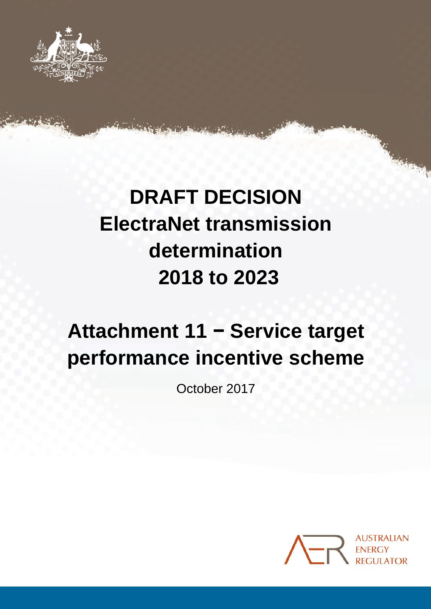

# **DRAFT DECISION ElectraNet transmission determination 2018 to 2023**

# **Attachment 11 − Service target performance incentive scheme**

October 2017

11-0 Attachment 11 − StPis in StPis in StPis in StPIS in StPIS in StPIS in StPIS in StPIS in StPIS in StPIS in

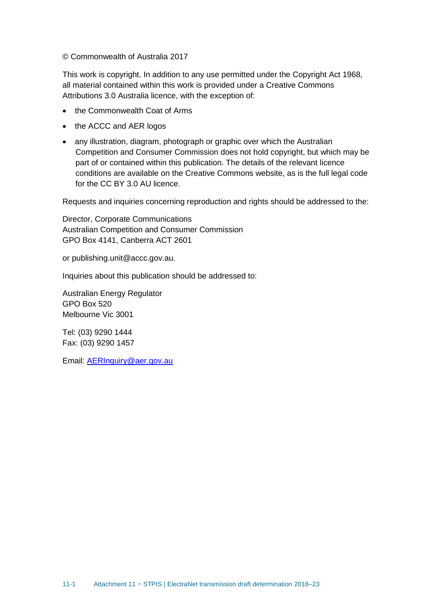© Commonwealth of Australia 2017

This work is copyright. In addition to any use permitted under the Copyright Act 1968, all material contained within this work is provided under a Creative Commons Attributions 3.0 Australia licence, with the exception of:

- the Commonwealth Coat of Arms
- the ACCC and AER logos
- any illustration, diagram, photograph or graphic over which the Australian Competition and Consumer Commission does not hold copyright, but which may be part of or contained within this publication. The details of the relevant licence conditions are available on the Creative Commons website, as is the full legal code for the CC BY 3.0 AU licence.

Requests and inquiries concerning reproduction and rights should be addressed to the:

Director, Corporate Communications Australian Competition and Consumer Commission GPO Box 4141, Canberra ACT 2601

or publishing.unit@accc.gov.au.

Inquiries about this publication should be addressed to:

Australian Energy Regulator GPO Box 520 Melbourne Vic 3001

Tel: (03) 9290 1444 Fax: (03) 9290 1457

Email: [AERInquiry@aer.gov.au](mailto:AERInquiry@aer.gov.au)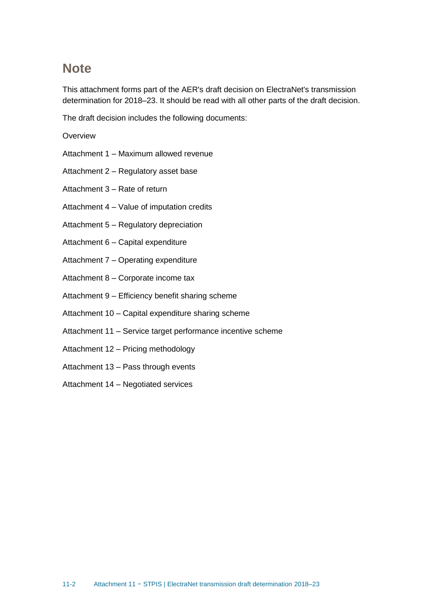## <span id="page-2-0"></span>**Note**

This attachment forms part of the AER's draft decision on ElectraNet's transmission determination for 2018–23. It should be read with all other parts of the draft decision.

The draft decision includes the following documents:

#### **Overview**

- Attachment 1 Maximum allowed revenue
- Attachment 2 Regulatory asset base

Attachment 3 – Rate of return

- Attachment 4 Value of imputation credits
- Attachment 5 Regulatory depreciation
- Attachment 6 Capital expenditure
- Attachment 7 Operating expenditure
- Attachment 8 Corporate income tax
- Attachment 9 Efficiency benefit sharing scheme
- Attachment 10 Capital expenditure sharing scheme
- Attachment 11 Service target performance incentive scheme
- Attachment 12 Pricing methodology
- Attachment 13 Pass through events
- Attachment 14 Negotiated services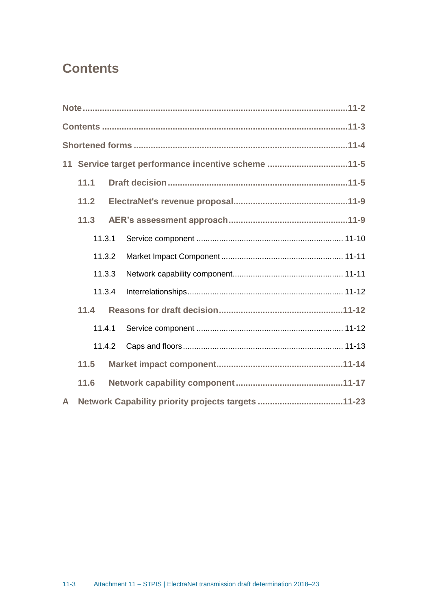## <span id="page-3-0"></span>**Contents**

|              |      |        | 11 Service target performance incentive scheme 11-5 |
|--------------|------|--------|-----------------------------------------------------|
|              | 11.1 |        |                                                     |
|              | 11.2 |        |                                                     |
|              | 11.3 |        |                                                     |
|              |      | 11.3.1 |                                                     |
|              |      | 11.3.2 |                                                     |
|              |      | 11.3.3 |                                                     |
|              |      | 11.3.4 |                                                     |
|              | 11.4 |        |                                                     |
|              |      | 11.4.1 |                                                     |
|              |      | 11.4.2 |                                                     |
|              | 11.5 |        |                                                     |
|              | 11.6 |        |                                                     |
| $\mathsf{A}$ |      |        | Network Capability priority projects targets 11-23  |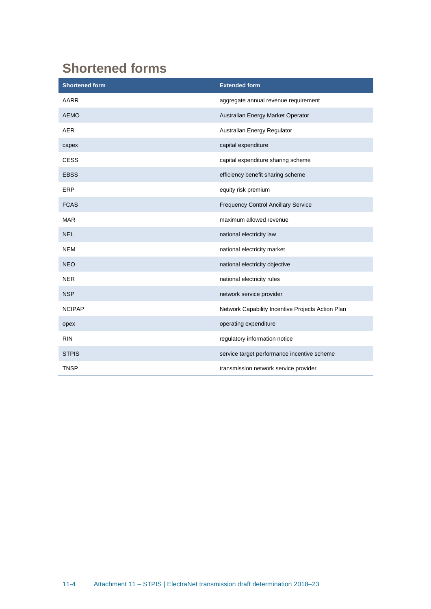# <span id="page-4-0"></span>**Shortened forms**

| <b>Shortened form</b> | <b>Extended form</b>                              |
|-----------------------|---------------------------------------------------|
| <b>AARR</b>           | aggregate annual revenue requirement              |
| <b>AEMO</b>           | Australian Energy Market Operator                 |
| <b>AER</b>            | Australian Energy Regulator                       |
| capex                 | capital expenditure                               |
| <b>CESS</b>           | capital expenditure sharing scheme                |
| <b>EBSS</b>           | efficiency benefit sharing scheme                 |
| ERP                   | equity risk premium                               |
| <b>FCAS</b>           | <b>Frequency Control Ancillary Service</b>        |
| <b>MAR</b>            | maximum allowed revenue                           |
| <b>NEL</b>            | national electricity law                          |
| <b>NEM</b>            | national electricity market                       |
| <b>NEO</b>            | national electricity objective                    |
| <b>NER</b>            | national electricity rules                        |
| <b>NSP</b>            | network service provider                          |
| <b>NCIPAP</b>         | Network Capability Incentive Projects Action Plan |
| opex                  | operating expenditure                             |
| <b>RIN</b>            | regulatory information notice                     |
| <b>STPIS</b>          | service target performance incentive scheme       |
| <b>TNSP</b>           | transmission network service provider             |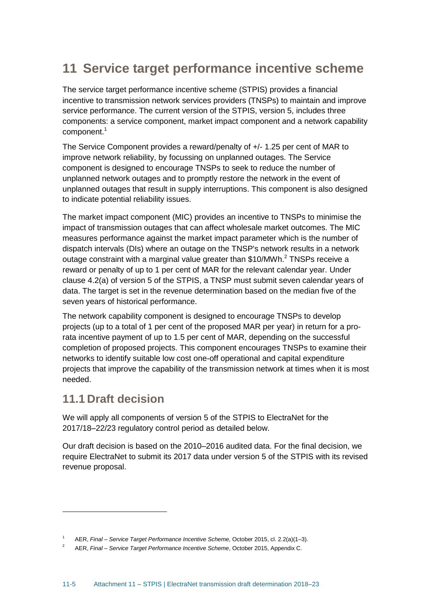## <span id="page-5-0"></span>**11 Service target performance incentive scheme**

The service target performance incentive scheme (STPIS) provides a financial incentive to transmission network services providers (TNSPs) to maintain and improve service performance. The current version of the STPIS, version 5, includes three components: a service component, market impact component and a network capability component.<sup>1</sup>

The Service Component provides a reward/penalty of +/- 1.25 per cent of MAR to improve network reliability, by focussing on unplanned outages. The Service component is designed to encourage TNSPs to seek to reduce the number of unplanned network outages and to promptly restore the network in the event of unplanned outages that result in supply interruptions. This component is also designed to indicate potential reliability issues.

The market impact component (MIC) provides an incentive to TNSPs to minimise the impact of transmission outages that can affect wholesale market outcomes. The MIC measures performance against the market impact parameter which is the number of dispatch intervals (DIs) where an outage on the TNSP's network results in a network outage constraint with a marginal value greater than \$10/MWh.<sup>2</sup> TNSPs receive a reward or penalty of up to 1 per cent of MAR for the relevant calendar year. Under clause 4.2(a) of version 5 of the STPIS, a TNSP must submit seven calendar years of data. The target is set in the revenue determination based on the median five of the seven years of historical performance.

The network capability component is designed to encourage TNSPs to develop projects (up to a total of 1 per cent of the proposed MAR per year) in return for a prorata incentive payment of up to 1.5 per cent of MAR, depending on the successful completion of proposed projects. This component encourages TNSPs to examine their networks to identify suitable low cost one-off operational and capital expenditure projects that improve the capability of the transmission network at times when it is most needed.

## <span id="page-5-1"></span>**11.1 Draft decision**

We will apply all components of version 5 of the STPIS to ElectraNet for the 2017/18–22/23 regulatory control period as detailed below.

Our draft decision is based on the 2010–2016 audited data. For the final decision, we require ElectraNet to submit its 2017 data under version 5 of the STPIS with its revised revenue proposal.

<sup>1</sup> AER, *Final – Service Target Performance Incentive Scheme,* October 2015, cl. 2.2(a)(1–3).

<sup>2</sup> AER, *Final – Service Target Performance Incentive Scheme*, October 2015, Appendix C.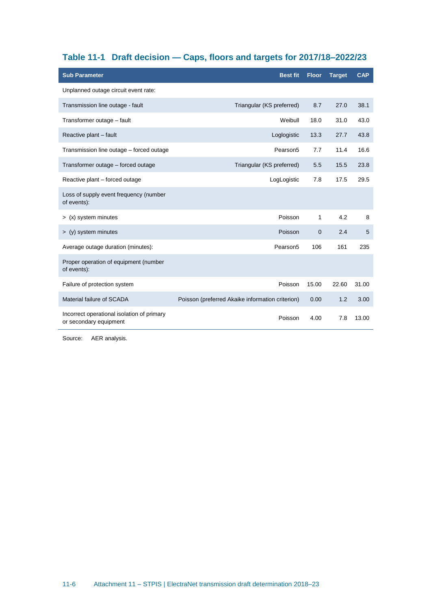## <span id="page-6-0"></span>**Table 11-1 Draft decision — Caps, floors and targets for 2017/18–2022/23**

| <b>Sub Parameter</b>                                                 | <b>Best fit</b>                                  | <b>Floor</b> | <b>Target</b> | <b>CAP</b> |
|----------------------------------------------------------------------|--------------------------------------------------|--------------|---------------|------------|
| Unplanned outage circuit event rate:                                 |                                                  |              |               |            |
| Transmission line outage - fault                                     | Triangular (KS preferred)                        | 8.7          | 27.0          | 38.1       |
| Transformer outage - fault                                           | Weibull                                          | 18.0         | 31.0          | 43.0       |
| Reactive plant - fault                                               | Loglogistic                                      | 13.3         | 27.7          | 43.8       |
| Transmission line outage – forced outage                             | Pearson <sub>5</sub>                             | 7.7          | 11.4          | 16.6       |
| Transformer outage - forced outage                                   | Triangular (KS preferred)                        | 5.5          | 15.5          | 23.8       |
| Reactive plant – forced outage                                       | LogLogistic                                      | 7.8          | 17.5          | 29.5       |
| Loss of supply event frequency (number<br>of events):                |                                                  |              |               |            |
| > (x) system minutes                                                 | Poisson                                          | 1            | 4.2           | 8          |
| $>$ (y) system minutes                                               | Poisson                                          | $\mathbf{0}$ | 2.4           | 5          |
| Average outage duration (minutes):                                   | Pearson <sub>5</sub>                             | 106          | 161           | 235        |
| Proper operation of equipment (number<br>of events):                 |                                                  |              |               |            |
| Failure of protection system                                         | Poisson                                          | 15.00        | 22.60         | 31.00      |
| Material failure of SCADA                                            | Poisson (preferred Akaike information criterion) | 0.00         | 1.2           | 3.00       |
| Incorrect operational isolation of primary<br>or secondary equipment | Poisson                                          | 4.00         | 7.8           | 13.00      |

Source: AER analysis.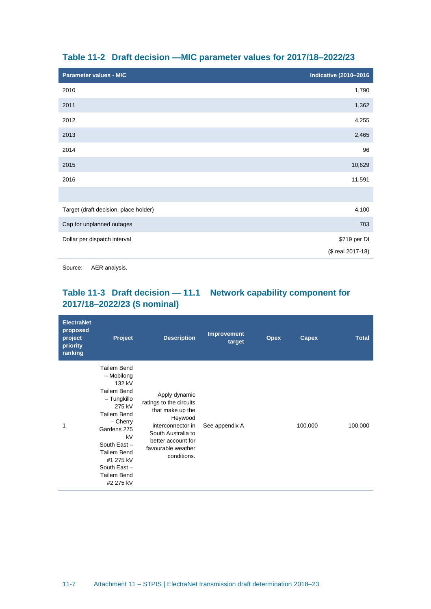| <b>Parameter values - MIC</b>         | <b>Indicative (2010-2016</b> |
|---------------------------------------|------------------------------|
| 2010                                  | 1,790                        |
| 2011                                  | 1,362                        |
| 2012                                  | 4,255                        |
| 2013                                  | 2,465                        |
| 2014                                  | 96                           |
| 2015                                  | 10,629                       |
| 2016                                  | 11,591                       |
|                                       |                              |
| Target (draft decision, place holder) | 4,100                        |
| Cap for unplanned outages             | 703                          |
| Dollar per dispatch interval          | \$719 per DI                 |
|                                       | (\$ real 2017-18)            |

#### <span id="page-7-0"></span>**Table 11-2 Draft decision —MIC parameter values for 2017/18–2022/23**

Source: AER analysis.

## **Table 11-3 Draft decision — 11.1 Network capability component for 2017/18–2022/23 (\$ nominal)**

| <b>ElectraNet</b><br>proposed<br>project<br>priority<br>ranking | <b>Project</b>                                                                                                                                                                                                                    | <b>Description</b>                                                                                                                                                            | <b>Improvement</b><br>target | <b>Opex</b> | Capex   | <b>Total</b> |
|-----------------------------------------------------------------|-----------------------------------------------------------------------------------------------------------------------------------------------------------------------------------------------------------------------------------|-------------------------------------------------------------------------------------------------------------------------------------------------------------------------------|------------------------------|-------------|---------|--------------|
| 1                                                               | Tailem Bend<br>- Mobilong<br>132 kV<br>Tailem Bend<br>- Tungkillo<br>275 kV<br>Tailem Bend<br>$-$ Cherry<br>Gardens 275<br>kV<br>South East-<br><b>Tailem Bend</b><br>#1 275 kV<br>South East-<br><b>Tailem Bend</b><br>#2 275 kV | Apply dynamic<br>ratings to the circuits<br>that make up the<br>Heywood<br>interconnector in<br>South Australia to<br>better account for<br>favourable weather<br>conditions. | See appendix A               |             | 100,000 | 100,000      |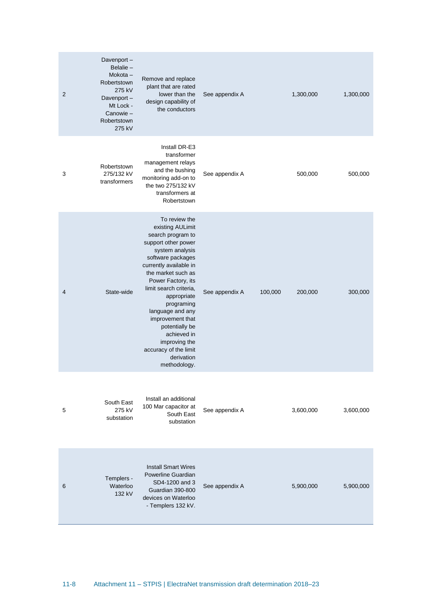| 2 | Davenport-<br>Belalie-<br>$Mokota -$<br>Robertstown<br>275 kV<br>Davenport-<br>Mt Lock -<br>Canowie-<br>Robertstown<br>275 kV | Remove and replace<br>plant that are rated<br>lower than the<br>design capability of<br>the conductors                                                                                                                                                                                                                                                                                              | See appendix A |         | 1,300,000 | 1,300,000 |
|---|-------------------------------------------------------------------------------------------------------------------------------|-----------------------------------------------------------------------------------------------------------------------------------------------------------------------------------------------------------------------------------------------------------------------------------------------------------------------------------------------------------------------------------------------------|----------------|---------|-----------|-----------|
| 3 | Robertstown<br>275/132 kV<br>transformers                                                                                     | Install DR-E3<br>transformer<br>management relays<br>and the bushing<br>monitoring add-on to<br>the two 275/132 kV<br>transformers at<br>Robertstown                                                                                                                                                                                                                                                | See appendix A |         | 500,000   | 500,000   |
| 4 | State-wide                                                                                                                    | To review the<br>existing AULimit<br>search program to<br>support other power<br>system analysis<br>software packages<br>currently available in<br>the market such as<br>Power Factory, its<br>limit search criteria,<br>appropriate<br>programing<br>language and any<br>improvement that<br>potentially be<br>achieved in<br>improving the<br>accuracy of the limit<br>derivation<br>methodology. | See appendix A | 100,000 | 200,000   | 300,000   |
| 5 | South East<br>275 kV<br>substation                                                                                            | Install an additional<br>100 Mar capacitor at<br>South East<br>substation                                                                                                                                                                                                                                                                                                                           | See appendix A |         | 3,600,000 | 3,600,000 |
| 6 | Templers -<br>Waterloo<br>132 kV                                                                                              | <b>Install Smart Wires</b><br>Powerline Guardian<br>SD4-1200 and 3<br>Guardian 390-800<br>devices on Waterloo<br>- Templers 132 kV.                                                                                                                                                                                                                                                                 | See appendix A |         | 5,900,000 | 5,900,000 |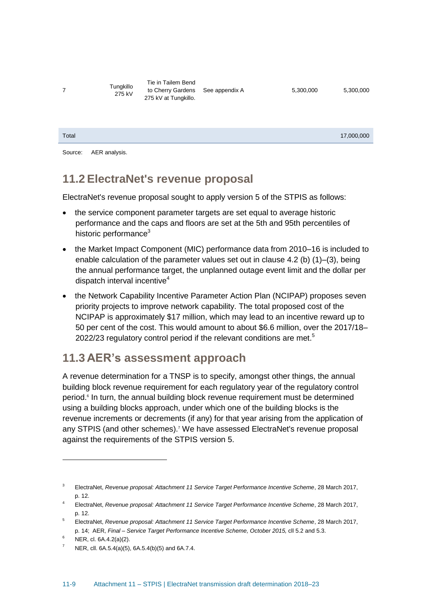7

Tungkillo 275 kV

Tie in Tailem Bend to Cherry Gardens See appendix A 5,300,000 5,300,000 275 kV at Tungkillo.

| Total |  | 17,000,000 |
|-------|--|------------|
|       |  |            |

Source: AER analysis.

## <span id="page-9-0"></span>**11.2 ElectraNet's revenue proposal**

ElectraNet's revenue proposal sought to apply version 5 of the STPIS as follows:

- the service component parameter targets are set equal to average historic performance and the caps and floors are set at the 5th and 95th percentiles of historic performance<sup>3</sup>
- the Market Impact Component (MIC) performance data from 2010–16 is included to enable calculation of the parameter values set out in clause 4.2 (b) (1)–(3), being the annual performance target, the unplanned outage event limit and the dollar per dispatch interval incentive<sup>4</sup>
- the Network Capability Incentive Parameter Action Plan (NCIPAP) proposes seven priority projects to improve network capability. The total proposed cost of the NCIPAP is approximately \$17 million, which may lead to an incentive reward up to 50 per cent of the cost. This would amount to about \$6.6 million, over the 2017/18– 2022/23 regulatory control period if the relevant conditions are met.<sup>5</sup>

## <span id="page-9-1"></span>**11.3 AER's assessment approach**

A revenue determination for a TNSP is to specify, amongst other things, the annual building block revenue requirement for each regulatory year of the regulatory control period.<sup>6</sup> In turn, the annual building block revenue requirement must be determined using a building blocks approach, under which one of the building blocks is the revenue increments or decrements (if any) for that year arising from the application of any STPIS (and other schemes).<sup>7</sup> We have assessed ElectraNet's revenue proposal against the requirements of the STPIS version 5.

<sup>3</sup> ElectraNet, *Revenue proposal: Attachment 11 Service Target Performance Incentive Scheme*, 28 March 2017, p. 12.

<sup>4</sup> ElectraNet, *Revenue proposal: Attachment 11 Service Target Performance Incentive Scheme*, 28 March 2017, p. 12.

<sup>5</sup> ElectraNet, *Revenue proposal: Attachment 11 Service Target Performance Incentive Scheme*, 28 March 2017, p. 14; AER, *Final – Service Target Performance Incentive Scheme, October 2015,* cll 5.2 and 5.3.

NER, cl. 6A.4.2(a)(2).

<sup>7</sup> NER, cll. 6A.5.4(a)(5), 6A.5.4(b)(5) and 6A.7.4.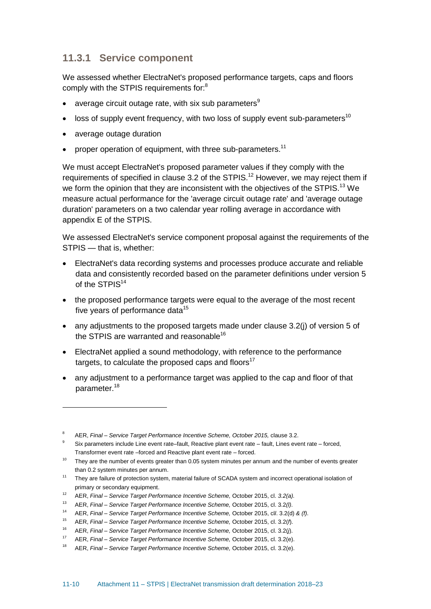## <span id="page-10-0"></span>**11.3.1 Service component**

We assessed whether ElectraNet's proposed performance targets, caps and floors comply with the STPIS requirements for:<sup>8</sup>

- average circuit outage rate, with six sub parameters $9$
- loss of supply event frequency, with two loss of supply event sub-parameters<sup>10</sup>
- average outage duration

• proper operation of equipment, with three sub-parameters.<sup>11</sup>

We must accept ElectraNet's proposed parameter values if they comply with the requirements of specified in clause 3.2 of the STPIS.<sup>12</sup> However, we may reject them if we form the opinion that they are inconsistent with the objectives of the STPIS.<sup>13</sup> We measure actual performance for the 'average circuit outage rate' and 'average outage duration' parameters on a two calendar year rolling average in accordance with appendix E of the STPIS.

We assessed ElectraNet's service component proposal against the requirements of the STPIS — that is, whether:

- ElectraNet's data recording systems and processes produce accurate and reliable data and consistently recorded based on the parameter definitions under version 5 of the STPIS<sup>14</sup>
- the proposed performance targets were equal to the average of the most recent five years of performance data $15$
- any adjustments to the proposed targets made under clause 3.2(j) of version 5 of the STPIS are warranted and reasonable<sup>16</sup>
- ElectraNet applied a sound methodology, with reference to the performance targets, to calculate the proposed caps and floors<sup>17</sup>
- any adjustment to a performance target was applied to the cap and floor of that parameter.<sup>18</sup>

<sup>8</sup> AER, *Final – Service Target Performance Incentive Scheme, October 2015,* clause 3.2.

Six parameters include Line event rate–fault, Reactive plant event rate – fault, Lines event rate – forced, Transformer event rate –forced and Reactive plant event rate – forced.

<sup>&</sup>lt;sup>10</sup> They are the number of events greater than 0.05 system minutes per annum and the number of events greater than 0.2 system minutes per annum.

<sup>&</sup>lt;sup>11</sup> They are failure of protection system, material failure of SCADA system and incorrect operational isolation of primary or secondary equipment.

<sup>12</sup> AER, *Final – Service Target Performance Incentive Scheme,* October 2015, cl. *3.2(a).*

<sup>13</sup> AER, *Final – Service Target Performance Incentive Scheme,* October 2015, cl. 3.2*(l)*.

<sup>14</sup> AER, *Final – Service Target Performance Incentive Scheme,* October 2015, cl*l*. 3.2(d) *& (f)*.

<sup>15</sup> AER, *Final – Service Target Performance Incentive Scheme,* October 2015, cl. 3.2(*f*).

<sup>16</sup> AER, *Final – Service Target Performance Incentive Scheme,* October 2015, cl. 3.2(*j*).

<sup>17</sup> AER, *Final – Service Target Performance Incentive Scheme,* October 2015, cl. 3.2(e).

<sup>18</sup> AER, *Final – Service Target Performance Incentive Scheme,* October 2015, cl. 3.2(e).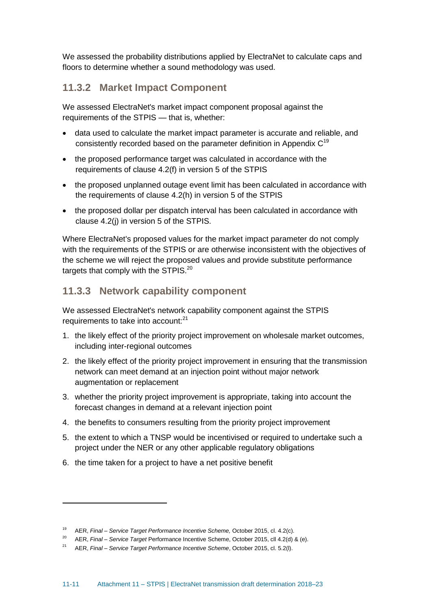We assessed the probability distributions applied by ElectraNet to calculate caps and floors to determine whether a sound methodology was used.

## <span id="page-11-0"></span>**11.3.2 Market Impact Component**

We assessed ElectraNet's market impact component proposal against the requirements of the STPIS — that is, whether:

- data used to calculate the market impact parameter is accurate and reliable, and consistently recorded based on the parameter definition in Appendix  $C^{19}$
- the proposed performance target was calculated in accordance with the requirements of clause 4.2(f) in version 5 of the STPIS
- the proposed unplanned outage event limit has been calculated in accordance with the requirements of clause 4.2(h) in version 5 of the STPIS
- the proposed dollar per dispatch interval has been calculated in accordance with clause 4.2(j) in version 5 of the STPIS.

Where ElectraNet's proposed values for the market impact parameter do not comply with the requirements of the STPIS or are otherwise inconsistent with the objectives of the scheme we will reject the proposed values and provide substitute performance targets that comply with the STPIS.<sup>20</sup>

## <span id="page-11-1"></span>**11.3.3 Network capability component**

We assessed ElectraNet's network capability component against the STPIS requirements to take into account:<sup>21</sup>

- 1. the likely effect of the priority project improvement on wholesale market outcomes, including inter-regional outcomes
- 2. the likely effect of the priority project improvement in ensuring that the transmission network can meet demand at an injection point without major network augmentation or replacement
- 3. whether the priority project improvement is appropriate, taking into account the forecast changes in demand at a relevant injection point
- 4. the benefits to consumers resulting from the priority project improvement
- 5. the extent to which a TNSP would be incentivised or required to undertake such a project under the NER or any other applicable regulatory obligations
- 6. the time taken for a project to have a net positive benefit

<sup>19</sup> AER, *Final – Service Target Performance Incentive Scheme,* October 2015, cl. 4.2(c).

<sup>20</sup> AER, *Final – Service Target* Performance Incentive Scheme, October 2015, cll 4.2(d) & (e).

<sup>21</sup> AER, *Final – Service Target Performance Incentive Scheme*, October 2015, cl. 5.2(l).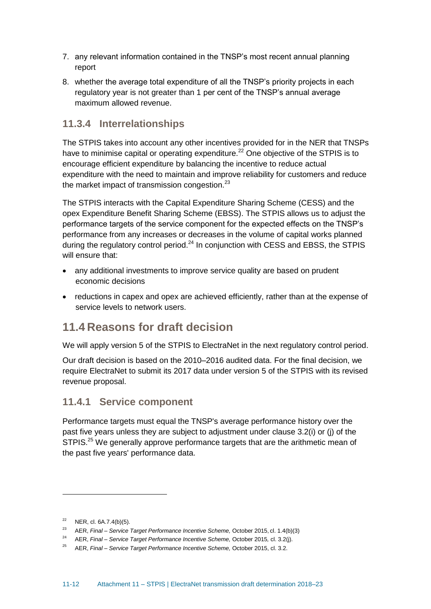- 7. any relevant information contained in the TNSP's most recent annual planning report
- 8. whether the average total expenditure of all the TNSP's priority projects in each regulatory year is not greater than 1 per cent of the TNSP's annual average maximum allowed revenue.

## <span id="page-12-0"></span>**11.3.4 Interrelationships**

The STPIS takes into account any other incentives provided for in the NER that TNSPs have to minimise capital or operating expenditure.<sup>22</sup> One objective of the STPIS is to encourage efficient expenditure by balancing the incentive to reduce actual expenditure with the need to maintain and improve reliability for customers and reduce the market impact of transmission congestion. $^{23}$ 

The STPIS interacts with the Capital Expenditure Sharing Scheme (CESS) and the opex Expenditure Benefit Sharing Scheme (EBSS). The STPIS allows us to adjust the performance targets of the service component for the expected effects on the TNSP's performance from any increases or decreases in the volume of capital works planned during the regulatory control period. $^{24}$  In conjunction with CESS and EBSS, the STPIS will ensure that:

- any additional investments to improve service quality are based on prudent economic decisions
- reductions in capex and opex are achieved efficiently, rather than at the expense of service levels to network users.

## <span id="page-12-1"></span>**11.4 Reasons for draft decision**

We will apply version 5 of the STPIS to ElectraNet in the next regulatory control period.

Our draft decision is based on the 2010–2016 audited data. For the final decision, we require ElectraNet to submit its 2017 data under version 5 of the STPIS with its revised revenue proposal.

## <span id="page-12-2"></span>**11.4.1 Service component**

Performance targets must equal the TNSP's average performance history over the past five years unless they are subject to adjustment under clause 3.2(i) or (j) of the STPIS.<sup>25</sup> We generally approve performance targets that are the arithmetic mean of the past five years' performance data.

 $22$  NER, cl. 6A.7.4(b)(5).

<sup>23</sup> AER, *Final – Service Target Performance Incentive Scheme,* October 2015, cl. 1.4(b)(3)

<sup>24</sup> AER, *Final – Service Target Performance Incentive Scheme,* October 2015*,* cl. 3.2(j).

<sup>25</sup> AER, *Final – Service Target Performance Incentive Scheme,* October 2015, cl. 3.2.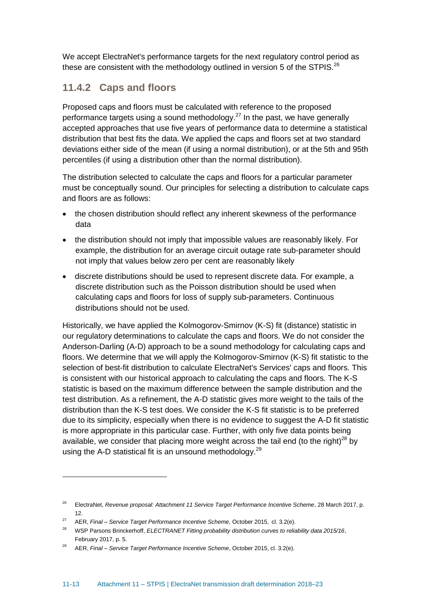We accept ElectraNet's performance targets for the next regulatory control period as these are consistent with the methodology outlined in version 5 of the STPIS.<sup>26</sup>

## <span id="page-13-0"></span>**11.4.2 Caps and floors**

Proposed caps and floors must be calculated with reference to the proposed performance targets using a sound methodology.<sup>27</sup> In the past, we have generally accepted approaches that use five years of performance data to determine a statistical distribution that best fits the data. We applied the caps and floors set at two standard deviations either side of the mean (if using a normal distribution), or at the 5th and 95th percentiles (if using a distribution other than the normal distribution).

The distribution selected to calculate the caps and floors for a particular parameter must be conceptually sound. Our principles for selecting a distribution to calculate caps and floors are as follows:

- the chosen distribution should reflect any inherent skewness of the performance data
- the distribution should not imply that impossible values are reasonably likely. For example, the distribution for an average circuit outage rate sub-parameter should not imply that values below zero per cent are reasonably likely
- discrete distributions should be used to represent discrete data. For example, a discrete distribution such as the Poisson distribution should be used when calculating caps and floors for loss of supply sub-parameters. Continuous distributions should not be used.

Historically, we have applied the Kolmogorov-Smirnov (K-S) fit (distance) statistic in our regulatory determinations to calculate the caps and floors. We do not consider the Anderson-Darling (A-D) approach to be a sound methodology for calculating caps and floors. We determine that we will apply the Kolmogorov-Smirnov (K-S) fit statistic to the selection of best-fit distribution to calculate ElectraNet's Services' caps and floors. This is consistent with our historical approach to calculating the caps and floors. The K-S statistic is based on the maximum difference between the sample distribution and the test distribution. As a refinement, the A-D statistic gives more weight to the tails of the distribution than the K-S test does. We consider the K-S fit statistic is to be preferred due to its simplicity, especially when there is no evidence to suggest the A-D fit statistic is more appropriate in this particular case. Further, with only five data points being available, we consider that placing more weight across the tail end (to the right)<sup>28</sup> by using the A-D statistical fit is an unsound methodology. $^{29}$ 

<sup>26</sup> ElectraNet, *Revenue proposal: Attachment 11 Service Target Performance Incentive Scheme*, 28 March 2017, p. 12.

<sup>27</sup> AER, *Final – Service Target Performance Incentive Scheme,* October 2015, cl. 3.2(e).

<sup>28</sup> WSP Parsons Brinckerhoff, *ELECTRANET Fitting probability distribution curves to reliability data 2015/16*, February 2017, p. 5.

<sup>29</sup> AER, *Final – Service Target Performance Incentive Scheme*, October 2015, cl. 3.2(e).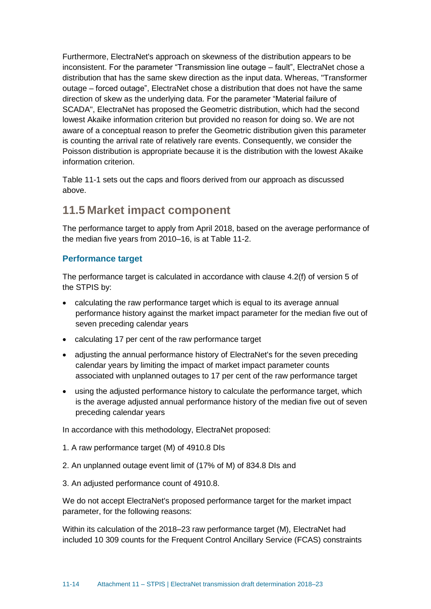Furthermore, ElectraNet's approach on skewness of the distribution appears to be inconsistent. For the parameter "Transmission line outage – fault", ElectraNet chose a distribution that has the same skew direction as the input data. Whereas, "Transformer outage – forced outage", ElectraNet chose a distribution that does not have the same direction of skew as the underlying data. For the parameter "Material failure of SCADA", ElectraNet has proposed the Geometric distribution, which had the second lowest Akaike information criterion but provided no reason for doing so. We are not aware of a conceptual reason to prefer the Geometric distribution given this parameter is counting the arrival rate of relatively rare events. Consequently, we consider the Poisson distribution is appropriate because it is the distribution with the lowest Akaike information criterion.

[Table 11-1](#page-6-0) sets out the caps and floors derived from our approach as discussed above.

## <span id="page-14-0"></span>**11.5 Market impact component**

The performance target to apply from April 2018, based on the average performance of the median five years from 2010–16, is at [Table 11-2.](#page-7-0)

#### **Performance target**

The performance target is calculated in accordance with clause 4.2(f) of version 5 of the STPIS by:

- calculating the raw performance target which is equal to its average annual performance history against the market impact parameter for the median five out of seven preceding calendar years
- calculating 17 per cent of the raw performance target
- adjusting the annual performance history of ElectraNet's for the seven preceding calendar years by limiting the impact of market impact parameter counts associated with unplanned outages to 17 per cent of the raw performance target
- using the adjusted performance history to calculate the performance target, which is the average adjusted annual performance history of the median five out of seven preceding calendar years

In accordance with this methodology, ElectraNet proposed:

- 1. A raw performance target (M) of 4910.8 DIs
- 2. An unplanned outage event limit of (17% of M) of 834.8 DIs and
- 3. An adjusted performance count of 4910.8.

We do not accept ElectraNet's proposed performance target for the market impact parameter, for the following reasons:

Within its calculation of the 2018–23 raw performance target (M), ElectraNet had included 10 309 counts for the Frequent Control Ancillary Service (FCAS) constraints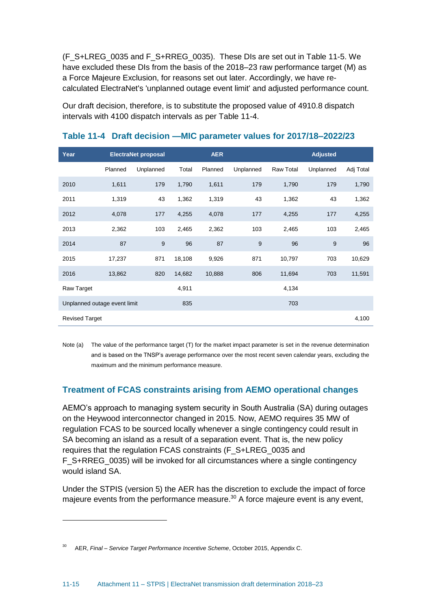(F\_S+LREG\_0035 and F\_S+RREG\_0035). These DIs are set out in [Table 11-5.](#page-16-0) We have excluded these DIs from the basis of the 2018–23 raw performance target (M) as a Force Majeure Exclusion, for reasons set out later. Accordingly, we have recalculated ElectraNet's 'unplanned outage event limit' and adjusted performance count.

Our draft decision, therefore, is to substitute the proposed value of 4910.8 dispatch intervals with 4100 dispatch intervals as per [Table 11-4.](#page-15-0)

| Year                         |         | <b>ElectraNet proposal</b> |        | <b>AER</b> |           |                  | <b>Adjusted</b> |           |
|------------------------------|---------|----------------------------|--------|------------|-----------|------------------|-----------------|-----------|
|                              | Planned | Unplanned                  | Total  | Planned    | Unplanned | <b>Raw Total</b> | Unplanned       | Adj Total |
| 2010                         | 1,611   | 179                        | 1,790  | 1,611      | 179       | 1,790            | 179             | 1,790     |
| 2011                         | 1,319   | 43                         | 1,362  | 1,319      | 43        | 1,362            | 43              | 1,362     |
| 2012                         | 4,078   | 177                        | 4,255  | 4,078      | 177       | 4,255            | 177             | 4,255     |
| 2013                         | 2,362   | 103                        | 2,465  | 2,362      | 103       | 2,465            | 103             | 2,465     |
| 2014                         | 87      | 9                          | 96     | 87         | 9         | 96               | 9               | 96        |
| 2015                         | 17,237  | 871                        | 18,108 | 9,926      | 871       | 10,797           | 703             | 10,629    |
| 2016                         | 13,862  | 820                        | 14,682 | 10,888     | 806       | 11,694           | 703             | 11,591    |
| Raw Target                   |         |                            | 4,911  |            |           | 4,134            |                 |           |
| Unplanned outage event limit |         |                            | 835    |            |           | 703              |                 |           |
| <b>Revised Target</b>        |         |                            |        |            |           |                  |                 | 4,100     |

#### <span id="page-15-0"></span>**Table 11-4 Draft decision —MIC parameter values for 2017/18–2022/23**

Note (a) The value of the performance target (T) for the market impact parameter is set in the revenue determination and is based on the TNSP's average performance over the most recent seven calendar years, excluding the maximum and the minimum performance measure.

## **Treatment of FCAS constraints arising from AEMO operational changes**

AEMO's approach to managing system security in South Australia (SA) during outages on the Heywood interconnector changed in 2015. Now, AEMO requires 35 MW of regulation FCAS to be sourced locally whenever a single contingency could result in SA becoming an island as a result of a separation event. That is, the new policy requires that the regulation FCAS constraints (F\_S+LREG\_0035 and F\_S+RREG\_0035) will be invoked for all circumstances where a single contingency would island SA.

Under the STPIS (version 5) the AER has the discretion to exclude the impact of force majeure events from the performance measure. $30$  A force majeure event is any event,

<sup>30</sup> AER, *Final – Service Target Performance Incentive Scheme*, October 2015, Appendix C.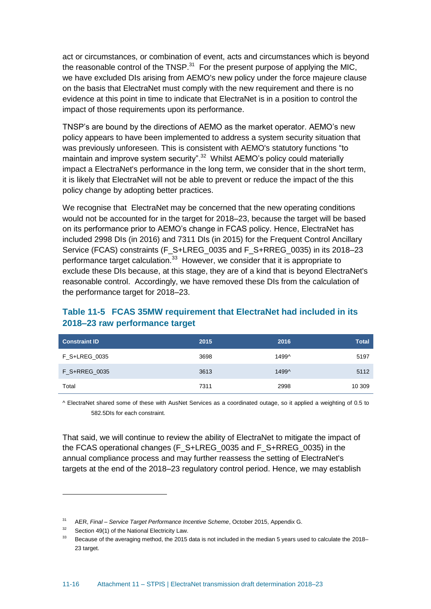act or circumstances, or combination of event, acts and circumstances which is beyond the reasonable control of the TNSP. $31$  For the present purpose of applying the MIC, we have excluded DIs arising from AEMO's new policy under the force majeure clause on the basis that ElectraNet must comply with the new requirement and there is no evidence at this point in time to indicate that ElectraNet is in a position to control the impact of those requirements upon its performance.

TNSP's are bound by the directions of AEMO as the market operator. AEMO's new policy appears to have been implemented to address a system security situation that was previously unforeseen. This is consistent with AEMO's statutory functions "to maintain and improve system security".<sup>32</sup> Whilst AEMO's policy could materially impact a ElectraNet's performance in the long term, we consider that in the short term, it is likely that ElectraNet will not be able to prevent or reduce the impact of the this policy change by adopting better practices.

We recognise that ElectraNet may be concerned that the new operating conditions would not be accounted for in the target for 2018–23, because the target will be based on its performance prior to AEMO's change in FCAS policy. Hence, ElectraNet has included 2998 DIs (in 2016) and 7311 DIs (in 2015) for the Frequent Control Ancillary Service (FCAS) constraints (F\_S+LREG\_0035 and F\_S+RREG\_0035) in its 2018–23 performance target calculation.<sup>33</sup> However, we consider that it is appropriate to exclude these DIs because, at this stage, they are of a kind that is beyond ElectraNet's reasonable control. Accordingly, we have removed these DIs from the calculation of the performance target for 2018–23.

<span id="page-16-0"></span>

| Table 11-5 FCAS 35MW requirement that ElectraNet had included in its |
|----------------------------------------------------------------------|
| 2018–23 raw performance target                                       |

| <b>Constraint ID</b> | 2015 | 2016  | <b>Total</b> |
|----------------------|------|-------|--------------|
| F S+LREG 0035        | 3698 | 1499^ | 5197         |
| F S+RREG 0035        | 3613 | 1499^ | 5112         |
| Total                | 7311 | 2998  | 10 309       |

^ ElectraNet shared some of these with AusNet Services as a coordinated outage, so it applied a weighting of 0.5 to 582.5DIs for each constraint.

That said, we will continue to review the ability of ElectraNet to mitigate the impact of the FCAS operational changes (F\_S+LREG\_0035 and F\_S+RREG\_0035) in the annual compliance process and may further reassess the setting of ElectraNet's targets at the end of the 2018–23 regulatory control period. Hence, we may establish

<sup>31</sup> AER, *Final – Service Target Performance Incentive Scheme*, October 2015, Appendix G.

 $32$  Section 49(1) of the National Electricity Law.

 $33$  Because of the averaging method, the 2015 data is not included in the median 5 years used to calculate the 2018– 23 target.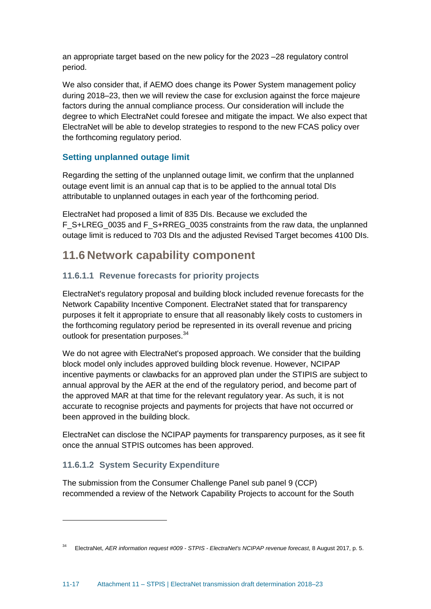an appropriate target based on the new policy for the 2023 –28 regulatory control period.

We also consider that, if AEMO does change its Power System management policy during 2018–23, then we will review the case for exclusion against the force majeure factors during the annual compliance process. Our consideration will include the degree to which ElectraNet could foresee and mitigate the impact. We also expect that ElectraNet will be able to develop strategies to respond to the new FCAS policy over the forthcoming regulatory period.

## **Setting unplanned outage limit**

Regarding the setting of the unplanned outage limit, we confirm that the unplanned outage event limit is an annual cap that is to be applied to the annual total DIs attributable to unplanned outages in each year of the forthcoming period.

ElectraNet had proposed a limit of 835 DIs. Because we excluded the F\_S+LREG\_0035 and F\_S+RREG\_0035 constraints from the raw data, the unplanned outage limit is reduced to 703 DIs and the adjusted Revised Target becomes 4100 DIs.

## <span id="page-17-0"></span>**11.6 Network capability component**

## **11.6.1.1 Revenue forecasts for priority projects**

ElectraNet's regulatory proposal and building block included revenue forecasts for the Network Capability Incentive Component. ElectraNet stated that for transparency purposes it felt it appropriate to ensure that all reasonably likely costs to customers in the forthcoming regulatory period be represented in its overall revenue and pricing outlook for presentation purposes.<sup>34</sup>

We do not agree with ElectraNet's proposed approach. We consider that the building block model only includes approved building block revenue. However, NCIPAP incentive payments or clawbacks for an approved plan under the STIPIS are subject to annual approval by the AER at the end of the regulatory period, and become part of the approved MAR at that time for the relevant regulatory year. As such, it is not accurate to recognise projects and payments for projects that have not occurred or been approved in the building block.

ElectraNet can disclose the NCIPAP payments for transparency purposes, as it see fit once the annual STPIS outcomes has been approved.

## **11.6.1.2 System Security Expenditure**

The submission from the Consumer Challenge Panel sub panel 9 (CCP) recommended a review of the Network Capability Projects to account for the South

<sup>34</sup> ElectraNet, *AER information request #009 - STPIS - ElectraNet's NCIPAP revenue forecast*, 8 August 2017, p. 5.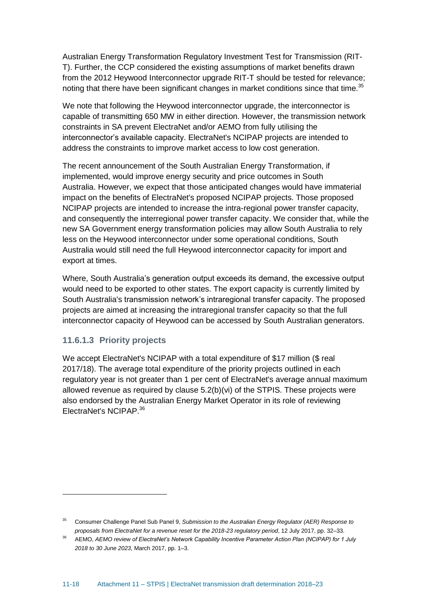Australian Energy Transformation Regulatory Investment Test for Transmission (RIT-T). Further, the CCP considered the existing assumptions of market benefits drawn from the 2012 Heywood Interconnector upgrade RIT-T should be tested for relevance; noting that there have been significant changes in market conditions since that time.<sup>35</sup>

We note that following the Heywood interconnector upgrade, the interconnector is capable of transmitting 650 MW in either direction. However, the transmission network constraints in SA prevent ElectraNet and/or AEMO from fully utilising the interconnector's available capacity. ElectraNet's NCIPAP projects are intended to address the constraints to improve market access to low cost generation.

The recent announcement of the South Australian Energy Transformation, if implemented, would improve energy security and price outcomes in South Australia. However, we expect that those anticipated changes would have immaterial impact on the benefits of ElectraNet's proposed NCIPAP projects. Those proposed NCIPAP projects are intended to increase the intra-regional power transfer capacity, and consequently the interregional power transfer capacity. We consider that, while the new SA Government energy transformation policies may allow South Australia to rely less on the Heywood interconnector under some operational conditions, South Australia would still need the full Heywood interconnector capacity for import and export at times.

Where, South Australia's generation output exceeds its demand, the excessive output would need to be exported to other states. The export capacity is currently limited by South Australia's transmission network's intraregional transfer capacity. The proposed projects are aimed at increasing the intraregional transfer capacity so that the full interconnector capacity of Heywood can be accessed by South Australian generators.

#### **11.6.1.3 Priority projects**

We accept ElectraNet's NCIPAP with a total expenditure of \$17 million (\$ real 2017/18). The average total expenditure of the priority projects outlined in each regulatory year is not greater than 1 per cent of ElectraNet's average annual maximum allowed revenue as required by clause 5.2(b)(vi) of the STPIS. These projects were also endorsed by the Australian Energy Market Operator in its role of reviewing ElectraNet's NCIPAP.<sup>36</sup>

<sup>35</sup> Consumer Challenge Panel Sub Panel 9, *Submission to the Australian Energy Regulator (AER) Response to proposals from ElectraNet for a revenue reset for the 2018-23 regulatory period*, 12 July 2017, pp. 32–33.

<sup>36</sup> AEMO, *AEMO review of ElectraNet's Network Capability Incentive Parameter Action Plan (NCIPAP) for 1 July 2018 to 30 June 2023*, March 2017, pp. 1–3.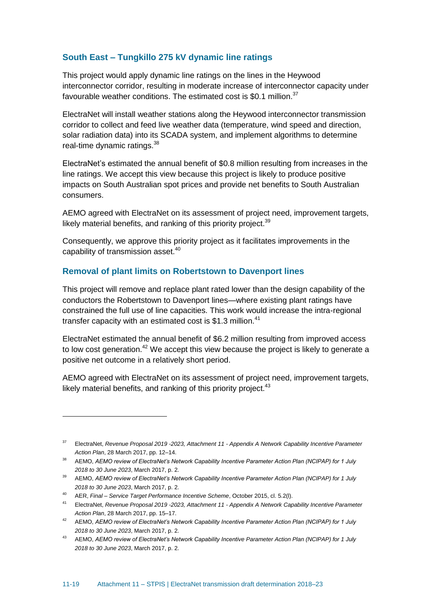#### **South East – Tungkillo 275 kV dynamic line ratings**

This project would apply dynamic line ratings on the lines in the Heywood interconnector corridor, resulting in moderate increase of interconnector capacity under favourable weather conditions. The estimated cost is \$0.1 million.<sup>37</sup>

ElectraNet will install weather stations along the Heywood interconnector transmission corridor to collect and feed live weather data (temperature, wind speed and direction, solar radiation data) into its SCADA system, and implement algorithms to determine real-time dynamic ratings.<sup>38</sup>

ElectraNet's estimated the annual benefit of \$0.8 million resulting from increases in the line ratings. We accept this view because this project is likely to produce positive impacts on South Australian spot prices and provide net benefits to South Australian consumers.

AEMO agreed with ElectraNet on its assessment of project need, improvement targets, likely material benefits, and ranking of this priority project.<sup>39</sup>

Consequently, we approve this priority project as it facilitates improvements in the capability of transmission asset.<sup>40</sup>

#### **Removal of plant limits on Robertstown to Davenport lines**

This project will remove and replace plant rated lower than the design capability of the conductors the Robertstown to Davenport lines—where existing plant ratings have constrained the full use of line capacities. This work would increase the intra-regional transfer capacity with an estimated cost is \$1.3 million.<sup>41</sup>

ElectraNet estimated the annual benefit of \$6.2 million resulting from improved access to low cost generation.<sup>42</sup> We accept this view because the project is likely to generate a positive net outcome in a relatively short period.

AEMO agreed with ElectraNet on its assessment of project need, improvement targets, likely material benefits, and ranking of this priority project. $43$ 

<sup>37</sup> ElectraNet, *Revenue Proposal 2019 -2023, Attachment 11 - Appendix A Network Capability Incentive Parameter Action Plan*, 28 March 2017, pp. 12–14.

<sup>38</sup> AEMO, *AEMO review of ElectraNet's Network Capability Incentive Parameter Action Plan (NCIPAP) for 1 July 2018 to 30 June 2023*, March 2017, p. 2.

<sup>39</sup> AEMO, *AEMO review of ElectraNet's Network Capability Incentive Parameter Action Plan (NCIPAP) for 1 July 2018 to 30 June 2023*, March 2017, p. 2.

<sup>40</sup> AER, *Final – Service Target Performance Incentive Scheme*, October 2015, cl. 5.2(l).

<sup>41</sup> ElectraNet, *Revenue Proposal 2019 -2023, Attachment 11 - Appendix A Network Capability Incentive Parameter Action Plan*, 28 March 2017, pp. 15–17.

<sup>42</sup> AEMO, *AEMO review of ElectraNet's Network Capability Incentive Parameter Action Plan (NCIPAP) for 1 July 2018 to 30 June 2023*, March 2017, p. 2.

<sup>43</sup> AEMO, *AEMO review of ElectraNet's Network Capability Incentive Parameter Action Plan (NCIPAP) for 1 July 2018 to 30 June 2023*, March 2017, p. 2.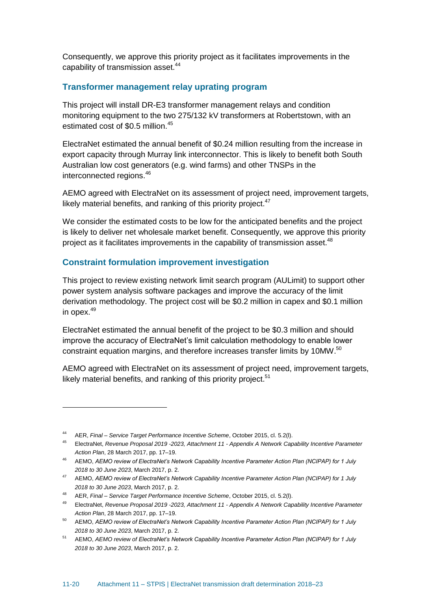Consequently, we approve this priority project as it facilitates improvements in the capability of transmission asset.<sup>44</sup>

#### **Transformer management relay uprating program**

This project will install DR-E3 transformer management relays and condition monitoring equipment to the two 275/132 kV transformers at Robertstown, with an estimated cost of \$0.5 million.<sup>45</sup>

ElectraNet estimated the annual benefit of \$0.24 million resulting from the increase in export capacity through Murray link interconnector. This is likely to benefit both South Australian low cost generators (e.g. wind farms) and other TNSPs in the interconnected regions.<sup>46</sup>

AEMO agreed with ElectraNet on its assessment of project need, improvement targets, likely material benefits, and ranking of this priority project. $47$ 

We consider the estimated costs to be low for the anticipated benefits and the project is likely to deliver net wholesale market benefit. Consequently, we approve this priority project as it facilitates improvements in the capability of transmission asset.<sup>48</sup>

#### **Constraint formulation improvement investigation**

This project to review existing network limit search program (AULimit) to support other power system analysis software packages and improve the accuracy of the limit derivation methodology. The project cost will be \$0.2 million in capex and \$0.1 million in opex.<sup>49</sup>

ElectraNet estimated the annual benefit of the project to be \$0.3 million and should improve the accuracy of ElectraNet's limit calculation methodology to enable lower constraint equation margins, and therefore increases transfer limits by 10MW.<sup>50</sup>

AEMO agreed with ElectraNet on its assessment of project need, improvement targets, likely material benefits, and ranking of this priority project. $51$ 

<sup>44</sup> AER, *Final – Service Target Performance Incentive Scheme*, October 2015, cl. 5.2(l).

<sup>45</sup> ElectraNet, *Revenue Proposal 2019 -2023, Attachment 11 - Appendix A Network Capability Incentive Parameter Action Plan*, 28 March 2017, pp. 17–19.

<sup>46</sup> AEMO, *AEMO review of ElectraNet's Network Capability Incentive Parameter Action Plan (NCIPAP) for 1 July 2018 to 30 June 2023*, March 2017, p. 2.

<sup>47</sup> AEMO, *AEMO review of ElectraNet's Network Capability Incentive Parameter Action Plan (NCIPAP) for 1 July 2018 to 30 June 2023*, March 2017, p. 2.

<sup>48</sup> AER, *Final – Service Target Performance Incentive Scheme*, October 2015, cl. 5.2(l).

<sup>49</sup> ElectraNet, *Revenue Proposal 2019 -2023, Attachment 11 - Appendix A Network Capability Incentive Parameter Action Plan*, 28 March 2017, pp. 17–19.

<sup>50</sup> AEMO, *AEMO review of ElectraNet's Network Capability Incentive Parameter Action Plan (NCIPAP) for 1 July 2018 to 30 June 2023*, March 2017, p. 2.

<sup>51</sup> AEMO, *AEMO review of ElectraNet's Network Capability Incentive Parameter Action Plan (NCIPAP) for 1 July 2018 to 30 June 2023*, March 2017, p. 2.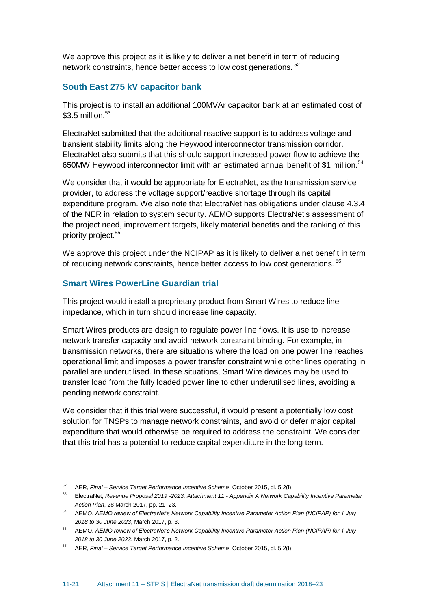We approve this project as it is likely to deliver a net benefit in term of reducing network constraints, hence better access to low cost generations. <sup>52</sup>

#### **South East 275 kV capacitor bank**

This project is to install an additional 100MVAr capacitor bank at an estimated cost of  $$3.5$  million.<sup>53</sup>

ElectraNet submitted that the additional reactive support is to address voltage and transient stability limits along the Heywood interconnector transmission corridor. ElectraNet also submits that this should support increased power flow to achieve the 650MW Heywood interconnector limit with an estimated annual benefit of \$1 million.<sup>54</sup>

We consider that it would be appropriate for ElectraNet, as the transmission service provider, to address the voltage support/reactive shortage through its capital expenditure program. We also note that ElectraNet has obligations under clause 4.3.4 of the NER in relation to system security. AEMO supports ElectraNet's assessment of the project need, improvement targets, likely material benefits and the ranking of this priority project.<sup>55</sup>

We approve this project under the NCIPAP as it is likely to deliver a net benefit in term of reducing network constraints, hence better access to low cost generations. <sup>56</sup>

#### **Smart Wires PowerLine Guardian trial**

This project would install a proprietary product from Smart Wires to reduce line impedance, which in turn should increase line capacity.

Smart Wires products are design to regulate power line flows. It is use to increase network transfer capacity and avoid network constraint binding. For example, in transmission networks, there are situations where the load on one power line reaches operational limit and imposes a power transfer constraint while other lines operating in parallel are underutilised. In these situations, Smart Wire devices may be used to transfer load from the fully loaded power line to other underutilised lines, avoiding a pending network constraint.

We consider that if this trial were successful, it would present a potentially low cost solution for TNSPs to manage network constraints, and avoid or defer major capital expenditure that would otherwise be required to address the constraint. We consider that this trial has a potential to reduce capital expenditure in the long term.

<sup>52</sup> AER, *Final – Service Target Performance Incentive Scheme*, October 2015, cl. 5.2(l).

<sup>53</sup> ElectraNet, *Revenue Proposal 2019 -2023, Attachment 11 - Appendix A Network Capability Incentive Parameter Action Plan*, 28 March 2017, pp. 21–23.

<sup>54</sup> AEMO, *AEMO review of ElectraNet's Network Capability Incentive Parameter Action Plan (NCIPAP) for 1 July 2018 to 30 June 2023*, March 2017, p. 3.

<sup>55</sup> AEMO, *AEMO review of ElectraNet's Network Capability Incentive Parameter Action Plan (NCIPAP) for 1 July 2018 to 30 June 2023*, March 2017, p. 2.

<sup>56</sup> AER, *Final – Service Target Performance Incentive Scheme*, October 2015, cl. 5.2(l).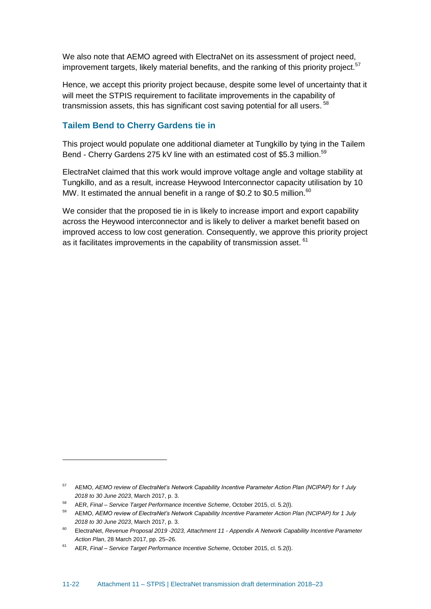We also note that AEMO agreed with ElectraNet on its assessment of project need, improvement targets, likely material benefits, and the ranking of this priority project.<sup>57</sup>

Hence, we accept this priority project because, despite some level of uncertainty that it will meet the STPIS requirement to facilitate improvements in the capability of transmission assets, this has significant cost saving potential for all users. <sup>58</sup>

#### **Tailem Bend to Cherry Gardens tie in**

This project would populate one additional diameter at Tungkillo by tying in the Tailem Bend - Cherry Gardens 275 kV line with an estimated cost of \$5.3 million.<sup>59</sup>

ElectraNet claimed that this work would improve voltage angle and voltage stability at Tungkillo, and as a result, increase Heywood Interconnector capacity utilisation by 10 MW. It estimated the annual benefit in a range of \$0.2 to \$0.5 million.<sup>60</sup>

We consider that the proposed tie in is likely to increase import and export capability across the Heywood interconnector and is likely to deliver a market benefit based on improved access to low cost generation. Consequently, we approve this priority project as it facilitates improvements in the capability of transmission asset. <sup>61</sup>

<sup>57</sup> AEMO, *AEMO review of ElectraNet's Network Capability Incentive Parameter Action Plan (NCIPAP) for 1 July 2018 to 30 June 2023*, March 2017, p. 3.

<sup>58</sup> AER, *Final – Service Target Performance Incentive Scheme*, October 2015, cl. 5.2(l).

<sup>59</sup> AEMO, *AEMO review of ElectraNet's Network Capability Incentive Parameter Action Plan (NCIPAP) for 1 July 2018 to 30 June 2023*, March 2017, p. 3.

<sup>60</sup> ElectraNet, *Revenue Proposal 2019 -2023, Attachment 11 - Appendix A Network Capability Incentive Parameter Action Plan*, 28 March 2017, pp. 25–26.

<sup>61</sup> AER, *Final – Service Target Performance Incentive Scheme*, October 2015, cl. 5.2(l).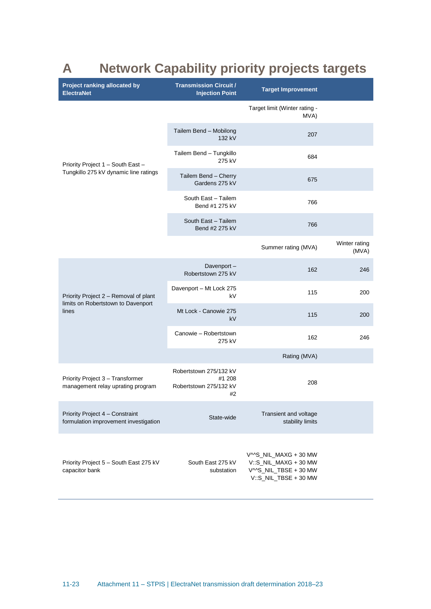# <span id="page-23-0"></span>**A Network Capability priority projects targets**

| Project ranking allocated by<br><b>ElectraNet</b>                        | <b>Transmission Circuit /</b><br><b>Injection Point</b>          | <b>Target Improvement</b>                                                                        |                        |
|--------------------------------------------------------------------------|------------------------------------------------------------------|--------------------------------------------------------------------------------------------------|------------------------|
|                                                                          |                                                                  | Target limit (Winter rating -<br>MVA)                                                            |                        |
|                                                                          | Tailem Bend - Mobilong<br>132 kV                                 | 207                                                                                              |                        |
| Priority Project 1 - South East -                                        | Tailem Bend - Tungkillo<br>275 kV                                | 684                                                                                              |                        |
| Tungkillo 275 kV dynamic line ratings                                    | Tailem Bend - Cherry<br>Gardens 275 kV                           | 675                                                                                              |                        |
|                                                                          | South East - Tailem<br>Bend #1 275 kV                            | 766                                                                                              |                        |
|                                                                          | South East - Tailem<br>Bend #2 275 kV                            | 766                                                                                              |                        |
|                                                                          |                                                                  | Summer rating (MVA)                                                                              | Winter rating<br>(MVA) |
|                                                                          | Davenport-<br>Robertstown 275 kV                                 | 162                                                                                              | 246                    |
| Priority Project 2 - Removal of plant                                    | Davenport - Mt Lock 275<br>kV                                    | 115                                                                                              | 200                    |
| limits on Robertstown to Davenport<br>lines                              | Mt Lock - Canowie 275<br>kV                                      | 115                                                                                              | 200                    |
|                                                                          | Canowie - Robertstown<br>275 kV                                  | 162                                                                                              | 246                    |
|                                                                          |                                                                  | Rating (MVA)                                                                                     |                        |
| Priority Project 3 - Transformer<br>management relay uprating program    | Robertstown 275/132 kV<br>#1 208<br>Robertstown 275/132 kV<br>#2 | 208                                                                                              |                        |
| Priority Project 4 - Constraint<br>formulation improvement investigation | State-wide                                                       | Transient and voltage<br>stability limits                                                        |                        |
| Priority Project 5 - South East 275 kV<br>capacitor bank                 | South East 275 kV<br>substation                                  | V^^S_NIL_MAXG + 30 MW<br>V::S_NIL_MAXG + 30 MW<br>V^^S_NIL_TBSE + 30 MW<br>V::S_NIL_TBSE + 30 MW |                        |